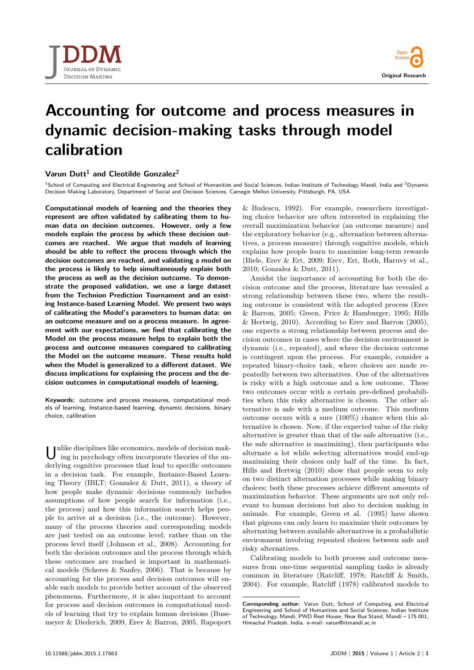

# **Accounting for outcome and process measures in dynamic decision-making tasks through model calibration**

# **Varun Dutt<sup>1</sup> and Cleotilde Gonzalez<sup>2</sup>**

<sup>1</sup>School of Computing and Electrical Engineering and School of Humanities and Social Sciences, Indian Institute of Technology Mandi, India and <sup>2</sup>Dynamic<br>Decision Making Laboratory, Department of Social and Decision Scien

**Computational models of learning and the theories they represent are often validated by calibrating them to human data on decision outcomes. However, only a few models explain the process by which these decision outcomes are reached. We argue that models of learning should be able to reflect the process through which the decision outcomes are reached, and validating a model on the process is likely to help simultaneously explain both the process as well as the decision outcome. To demonstrate the proposed validation, we use a large dataset from the Technion Prediction Tournament and an existing Instance-based Learning Model. We present two ways of calibrating the Model's parameters to human data: on an outcome measure and on a process measure. In agreement with our expectations, we find that calibrating the Model on the process measure helps to explain both the process and outcome measures compared to calibrating the Model on the outcome measure. These results hold when the Model is generalized to a different dataset. We discuss implications for explaining the process and the decision outcomes in computational models of learning.**

**Keywords:** outcome and process measures, computational models of learning, Instance-based learning, dynamic decisions, binary choice, calibration

U nlike disciplines like economics, models of decision making in psychology often incorporate theories of the underlying cognitive processes that lead to specific outcomes in a decision task. For example, Instance-Based Learning Theory (IBLT; [Gonzalez & Dutt, 2011\)](#page-7-0), a theory of how people make dynamic decisions commonly includes assumptions of how people search for information (i.e., the process) and how this information search helps people to arrive at a decision (i.e., the outcome). However, many of the process theories and corresponding models are just tested on an outcome level; rather than on the process level itself [\(Johnson et al., 2008\).](#page-7-0) Accounting for both the decision outcomes and the process through which these outcomes are reached is important in mathematical models [\(Scheres & Sanfey, 2006\).](#page-7-0) That is because by accounting for the process and decision outcomes will enable such models to provide better account of the observed phenomena. Furthermore, it is also important to account for process and decision outcomes in computational models of learning that try to explain human decisions [\(Buse](#page-7-0)[meyer & Diederich, 2009, Erev & Barron, 2005, Rapoport](#page-7-0)

[& Budescu, 1992\)](#page-7-0). For example, researchers investigating choice behavior are often interested in explaining the overall maximization behavior (an outcome measure) and the exploratory behavior (e.g., alternation between alternatives, a process measure) through cognitive models, which explains how people learn to maximize long-term rewards [\(Biele, Erev & Ert, 2009; Erev, Ert, Roth, Haruvy et al.,](#page-7-0) [2010; Gonzalez & Dutt, 2011\)](#page-7-0).

Amidst the importance of accounting for both the decision outcome and the process, literature has revealed a strong relationship between these two, where the resulting outcome is consistent with the adopted process [\(Erev](#page-7-0) [& Barron, 2005; Green, Price & Hamburger, 1995; Hills](#page-7-0) [& Hertwig, 2010\)](#page-7-0). According to [Erev and Barron \(2005\),](#page-7-0) one expects a strong relationship between process and decision outcomes in cases where the decision environment is dynamic (i.e., repeated), and where the decision outcome is contingent upon the process. For example, consider a repeated binary-choice task, where choices are made repeatedly between two alternatives. One of the alternatives is risky with a high outcome and a low outcome. These two outcomes occur with a certain pre-defined probabilities when this risky alternative is chosen. The other alternative is safe with a medium outcome. This medium outcome occurs with a sure (100%) chance when this alternative is chosen. Now, if the expected value of the risky alternative is greater than that of the safe alternative (i.e., the safe alternative is maximizing), then participants who alternate a lot while selecting alternatives would end-up maximizing their choices only half of the time. In fact, [Hills and Hertwig \(2010\)](#page-7-0) show that people seem to rely on two distinct alternation processes while making binary choices; both these processes achieve different amounts of maximization behavior. These arguments are not only relevant to human decisions but also to decision making in animals. For example, [Green et al. \(1995\)](#page-7-0) have shown that pigeons can only learn to maximize their outcomes by alternating between available alternatives in a probabilistic environment involving repeated choices between safe and risky alternatives.

Calibrating models to both process and outcome measures from one-time sequential sampling tasks is already common in literature [\(Ratcliff, 1978; Ratcliff & Smith,](#page-7-0) [2004\)](#page-7-0). For example, [Ratcliff \(1978\)](#page-7-0) calibrated models to

**Corresponding author:** Varun Dutt, School of Computing and Electrical Engineering and School of Humanities and Social Sciences, Indian Institute of Technology, Mandi, PWD Rest House, Near Bus Stand, Mandi – 175 001, Himachal Pradesh, India. e-mail: [varun@iitmandi.ac.in](mailto:varun@iitmandi.ac.in)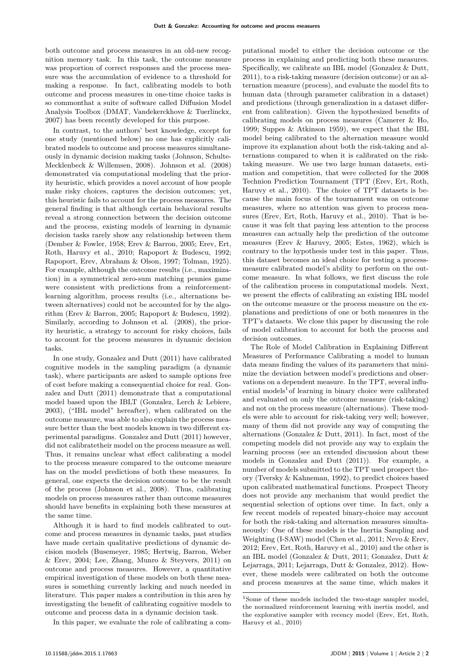both outcome and process measures in an old-new recognition memory task. In this task, the outcome measure was proportion of correct responses and the process measure was the accumulation of evidence to a threshold for making a response. In fact, calibrating models to both outcome and process measures in one-time choice tasks is so commonthat a suite of software called Diffusion Model Analysis Toolbox (DMAT, [Vandekerckhove & Tuerlinckx,](#page-7-0) [2007\)](#page-7-0) has been recently developed for this purpose.

In contrast, to the authors' best knowledge, except for one study (mentioned below) no one has explicitly calibrated models to outcome and process measures simultaneously in dynamic decision making tasks [\(Johnson, Schulte-](#page-7-0)[Mecklenbeck & Willemsen, 2008\)](#page-7-0). [Johnson et al. \(2008\)](#page-7-0) demonstrated via computational modeling that the priority heuristic, which provides a novel account of how people make risky choices, captures the decision outcomes; yet, this heuristic fails to account for the process measures. The general finding is that although certain behavioral results reveal a strong connection between the decision outcome and the process, existing models of learning in dynamic decision tasks rarely show any relationship between them [\(Dember & Fowler, 1958; Erev & Barron, 2005; Erev, Ert,](#page-7-0) [Roth, Haruvy et al., 2010; Rapoport & Budescu, 1992;](#page-7-0) [Rapoport, Erev, Abraham & Olson, 1997; Tolman, 1925\)](#page-7-0). For example, although the outcome results (i.e., maximization) in a symmetrical zero-sum matching pennies game were consistent with predictions from a reinforcementlearning algorithm, process results (i.e., alternations between alternatives) could not be accounted for by the algorithm [\(Erev & Barron, 2005; Rapoport & Budescu, 1992\)](#page-7-0). Similarly, according to [Johnson et al. \(2008\),](#page-7-0) the priority heuristic, a strategy to account for risky choices, fails to account for the process measures in dynamic decision tasks.

In one study, [Gonzalez and Dutt \(2011\)](#page-7-0) have calibrated cognitive models in the sampling paradigm (a dynamic task), where participants are asked to sample options free of cost before making a consequential choice for real. [Gon](#page-7-0)[zalez and Dutt \(2011\)](#page-7-0) demonstrate that a computational model based upon the IBLT [\(Gonzalez, Lerch & Lebiere,](#page-7-0) [2003\)](#page-7-0), ("IBL model" hereafter), when calibrated on the outcome measure, was able to also explain the process measure better than the best models known in two different experimental paradigms. [Gonzalez and Dutt \(2011\)](#page-7-0) however, did not calibratetheir model on the process measure as well. Thus, it remains unclear what effect calibrating a model to the process measure compared to the outcome measure has on the model predictions of both these measures. In general, one expects the decision outcome to be the result of the process [\(Johnson et al., 2008\)](#page-7-0). Thus, calibrating models on process measures rather than outcome measures should have benefits in explaining both these measures at the same time.

Although it is hard to find models calibrated to outcome and process measures in dynamic tasks, past studies have made certain qualitative predictions of dynamic decision models [\(Busemeyer, 1985; Hertwig, Barron, Weber](#page-7-0) [& Erev, 2004; Lee, Zhang, Munro & Steyvers, 2011\)](#page-7-0) on outcome and process measures. However, a quantitative empirical investigation of these models on both these measures is something currently lacking and much needed in literature. This paper makes a contribution in this area by investigating the benefit of calibrating cognitive models to outcome and process data in a dynamic decision task.

In this paper, we evaluate the role of calibrating a com-

putational model to either the decision outcome or the process in explaining and predicting both these measures. Specifically, we calibrate an IBL model [\(Gonzalez & Dutt,](#page-7-0) [2011\)](#page-7-0), to a risk-taking measure (decision outcome) or an alternation measure (process), and evaluate the model fits to human data (through parameter calibration in a dataset) and predictions (through generalization in a dataset different from calibration). Given the hypothesized benefits of calibrating models on process measures [\(Camerer & Ho,](#page-7-0) [1999; Suppes & Atkinson 1959\)](#page-7-0), we expect that the IBL model being calibrated to the alternation measure would improve its explanation about both the risk-taking and alternations compared to when it is calibrated on the risktaking measure. We use two large human datasets, estimation and competition, that were collected for the 2008 Technion Prediction Tournament (TPT [\(Erev, Ert, Roth,](#page-7-0) [Haruvy et al., 2010\)](#page-7-0). The choice of TPT datasets is because the main focus of the tournament was on outcome measures, where no attention was given to process measures [\(Erev, Ert, Roth, Haruvy et al., 2010\)](#page-7-0). That is because it was felt that paying less attention to the process measures can actually help the prediction of the outcome measures [\(Erev & Haruvy, 2005; Estes, 1962\)](#page-7-0), which is contrary to the hypothesis under test in this paper. Thus, this dataset becomes an ideal choice for testing a processmeasure calibrated model's ability to perform on the outcome measure. In what follows, we first discuss the role of the calibration process in computational models. Next, we present the effects of calibrating an existing IBL model on the outcome measure or the process measure on the explanations and predictions of one or both measures in the TPT's datasets. We close this paper by discussing the role of model calibration to account for both the process and decision outcomes.

The Role of Model Calibration in Explaining Different Measures of Performance Calibrating a model to human data means finding the values of its parameters that minimize the deviation between model's predictions and observations on a dependent measure. In the TPT, several influential m[o](#page-1-0)dels<sup>1</sup> of learning in binary choice were calibrated and evaluated on only the outcome measure (risk-taking) and not on the process measure (alternations). These models were able to account for risk-taking very well; however, many of them did not provide any way of computing the alternations [\(Gonzalez & Dutt, 2011\)](#page-7-0). In fact, most of the competing models did not provide any way to explain the learning process (see an extended discussion about these models in [Gonzalez and Dutt \(2011\)\)](#page-7-0). For example, a number of models submitted to the TPT used prospect theory [\(Tversky & Kahneman, 1992\)](#page-7-0), to predict choices based upon calibrated mathematical functions. Prospect Theory does not provide any mechanism that would predict the sequential selection of options over time. In fact, only a few recent models of repeated binary-choice may account for both the risk-taking and alternation measures simultaneously: One of these models is the Inertia Sampling and Weighting (I-SAW) model [\(Chen et al., 2011;](#page-7-0) Nevo & Erev, 2012; [Erev, Ert, Roth, Haruvy et al., 2010\)](#page-7-0) and the other is an IBL model [\(Gonzalez & Dutt, 2011; Gonzalez, Dutt &](#page-7-0) [Lejarraga, 2011; Lejarraga, Dutt & Gonzalez, 2012\)](#page-7-0). However, these models were calibrated on both the outcome and process measures at the same time, which makes it

<span id="page-1-0"></span><sup>1</sup>Some of these models included the two-stage sampler model, the normalized reinforcement learning with inertia model, and the explorative sampler with recency model [\(Erev, Ert, Roth,](#page-7-0) [Haruvy et al., 2010\)](#page-7-0)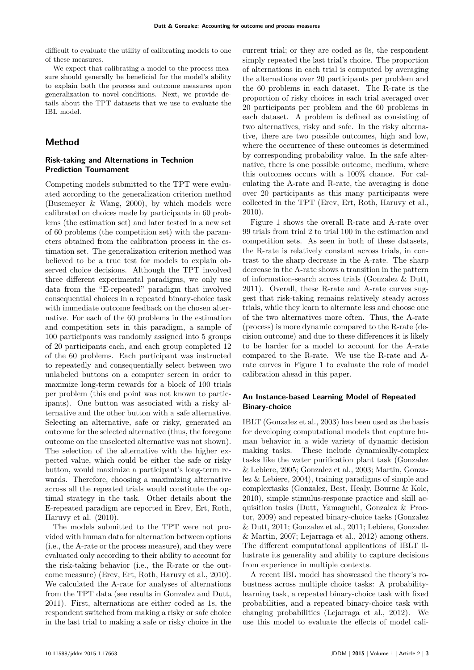difficult to evaluate the utility of calibrating models to one of these measures.

We expect that calibrating a model to the process measure should generally be beneficial for the model's ability to explain both the process and outcome measures upon generalization to novel conditions. Next, we provide details about the TPT datasets that we use to evaluate the IBL model.

# **Method**

# **Risk-taking and Alternations in Technion Prediction Tournament**

Competing models submitted to the TPT were evaluated according to the generalization criterion method [\(Busemeyer & Wang, 2000\)](#page-7-0), by which models were calibrated on choices made by participants in 60 problems (the estimation set) and later tested in a new set of 60 problems (the competition set) with the parameters obtained from the calibration process in the estimation set. The generalization criterion method was believed to be a true test for models to explain observed choice decisions. Although the TPT involved three different experimental paradigms, we only use data from the "E-repeated" paradigm that involved consequential choices in a repeated binary-choice task with immediate outcome feedback on the chosen alternative. For each of the 60 problems in the estimation and competition sets in this paradigm, a sample of 100 participants was randomly assigned into 5 groups of 20 participants each, and each group completed 12 of the 60 problems. Each participant was instructed to repeatedly and consequentially select between two unlabeled buttons on a computer screen in order to maximize long-term rewards for a block of 100 trials per problem (this end point was not known to participants). One button was associated with a risky alternative and the other button with a safe alternative. Selecting an alternative, safe or risky, generated an outcome for the selected alternative (thus, the foregone outcome on the unselected alternative was not shown). The selection of the alternative with the higher expected value, which could be either the safe or risky button, would maximize a participant's long-term rewards. Therefore, choosing a maximizing alternative across all the repeated trials would constitute the optimal strategy in the task. Other details about the E-repeated paradigm are reported in [Erev, Ert, Roth,](#page-7-0) [Haruvy et al. \(2010\).](#page-7-0)

The models submitted to the TPT were not provided with human data for alternation between options (i.e., the A-rate or the process measure), and they were evaluated only according to their ability to account for the risk-taking behavior (i.e., the R-rate or the outcome measure) [\(Erev, Ert, Roth, Haruvy et al., 2010\).](#page-7-0) We calculated the A-rate for analyses of alternations from the TPT data (see results in [Gonzalez and Dutt,](#page-7-0) [2011\)](#page-7-0). First, alternations are either coded as 1s, the respondent switched from making a risky or safe choice in the last trial to making a safe or risky choice in the

current trial; or they are coded as 0s, the respondent simply repeated the last trial's choice. The proportion of alternations in each trial is computed by averaging the alternations over 20 participants per problem and the 60 problems in each dataset. The R-rate is the proportion of risky choices in each trial averaged over 20 participants per problem and the 60 problems in each dataset. A problem is defined as consisting of two alternatives, risky and safe. In the risky alternative, there are two possible outcomes, high and low, where the occurrence of these outcomes is determined by corresponding probability value. In the safe alternative, there is one possible outcome, medium, where this outcomes occurs with a 100% chance. For calculating the A-rate and R-rate, the averaging is done over 20 participants as this many participants were collected in the TPT [\(Erev, Ert, Roth, Haruvy et al.,](#page-7-0) [2010\)](#page-7-0).

Figure [1](#page-3-0) shows the overall R-rate and A-rate over 99 trials from trial 2 to trial 100 in the estimation and competition sets. As seen in both of these datasets, the R-rate is relatively constant across trials, in contrast to the sharp decrease in the A-rate. The sharp decrease in the A-rate shows a transition in the pattern of information-search across trials [\(Gonzalez & Dutt,](#page-7-0) [2011\)](#page-7-0). Overall, these R-rate and A-rate curves suggest that risk-taking remains relatively steady across trials, while they learn to alternate less and choose one of the two alternatives more often. Thus, the A-rate (process) is more dynamic compared to the R-rate (decision outcome) and due to these differences it is likely to be harder for a model to account for the A-rate compared to the R-rate. We use the R-rate and Arate curves in Figure [1](#page-3-0) to evaluate the role of model calibration ahead in this paper.

# **An Instance-based Learning Model of Repeated Binary-choice**

IBLT [\(Gonzalez et al., 2003\)](#page-7-0) has been used as the basis for developing computational models that capture human behavior in a wide variety of dynamic decision making tasks. These include dynamically-complex tasks like the water purification plant task [\(Gonzalez](#page-7-0) [& Lebiere, 2005; Gonzalez et al., 2003; Martin, Gonza](#page-7-0)[lez & Lebiere, 2004\)](#page-7-0), training paradigms of simple and complextasks [\(Gonzalez, Best, Healy, Bourne & Kole,](#page-7-0) [2010\)](#page-7-0), simple stimulus-response practice and skill acquisition tasks [\(Dutt, Yamaguchi, Gonzalez & Proc](#page-7-0)[tor, 2009\)](#page-7-0) and repeated binary-choice tasks [\(Gonzalez](#page-7-0) [& Dutt, 2011; Gonzalez et al., 2011; Lebiere, Gonzalez](#page-7-0) [& Martin, 2007; Lejarraga et al., 2012\)](#page-7-0) among others. The different computational applications of IBLT illustrate its generality and ability to capture decisions from experience in multiple contexts.

A recent IBL model has showcased the theory's robustness across multiple choice tasks: A probabilitylearning task, a repeated binary-choice task with fixed probabilities, and a repeated binary-choice task with changing probabilities [\(Lejarraga et al., 2012\)](#page-7-0). We use this model to evaluate the effects of model cali-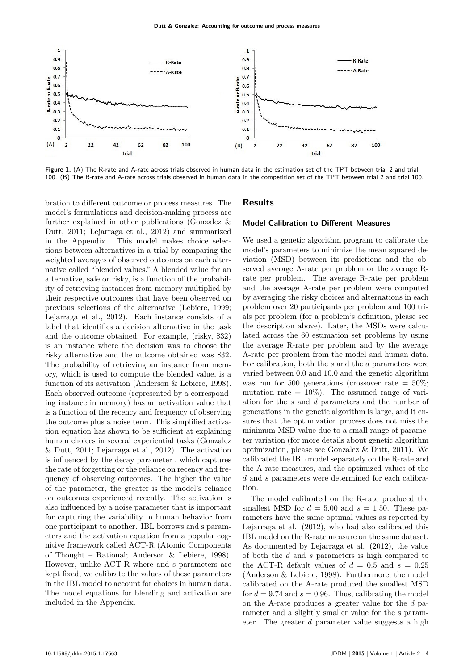<span id="page-3-0"></span>

**Figure 1.** (A) The R-rate and A-rate across trials observed in human data in the estimation set of the TPT between trial 2 and trial 100. (B) The R-rate and A-rate across trials observed in human data in the competition set of the TPT between trial 2 and trial 100.

bration to different outcome or process measures. The model's formulations and decision-making process are further explained in other publications [\(Gonzalez &](#page-7-0) [Dutt, 2011; Lejarraga et al., 2012\)](#page-7-0) and summarized in the Appendix. This model makes choice selections between alternatives in a trial by comparing the weighted averages of observed outcomes on each alternative called "blended values." A blended value for an alternative, safe or risky, is a function of the probability of retrieving instances from memory multiplied by their respective outcomes that have been observed on previous selections of the alternative [\(Lebiere, 1999;](#page-7-0) [Lejarraga et al., 2012\)](#page-7-0). Each instance consists of a label that identifies a decision alternative in the task and the outcome obtained. For example, (risky, \$32) is an instance where the decision was to choose the risky alternative and the outcome obtained was \$32. The probability of retrieving an instance from memory, which is used to compute the blended value, is a function of its activation [\(Anderson & Lebiere, 1998\)](#page-7-0). Each observed outcome (represented by a corresponding instance in memory) has an activation value that is a function of the recency and frequency of observing the outcome plus a noise term. This simplified activation equation has shown to be sufficient at explaining human choices in several experiential tasks [\(Gonzalez](#page-7-0) [& Dutt, 2011; Lejarraga et al., 2012\)](#page-7-0). The activation is influenced by the decay parameter , which captures the rate of forgetting or the reliance on recency and frequency of observing outcomes. The higher the value of the parameter, the greater is the model's reliance on outcomes experienced recently. The activation is also influenced by a noise parameter that is important for capturing the variability in human behavior from one participant to another. IBL borrows and s parameters and the activation equation from a popular cognitive framework called ACT-R (Atomic Components of Thought – Rational; [Anderson & Lebiere, 1998\)](#page-7-0). However, unlike ACT-R where and s parameters are kept fixed, we calibrate the values of these parameters in the IBL model to account for choices in human data. The model equations for blending and activation are included in the Appendix.

# **Results**

## **Model Calibration to Different Measures**

We used a genetic algorithm program to calibrate the model's parameters to minimize the mean squared deviation (MSD) between its predictions and the observed average A-rate per problem or the average Rrate per problem. The average R-rate per problem and the average A-rate per problem were computed by averaging the risky choices and alternations in each problem over 20 participants per problem and 100 trials per problem (for a problem's definition, please see the description above). Later, the MSDs were calculated across the 60 estimation set problems by using the average R-rate per problem and by the average A-rate per problem from the model and human data. For calibration, both the *s* and the *d* parameters were varied between 0.0 and 10.0 and the genetic algorithm was run for 500 generations (crossover rate  $= 50\%$ ; mutation rate  $= 10\%$ . The assumed range of variation for the *s* and *d* parameters and the number of generations in the genetic algorithm is large, and it ensures that the optimization process does not miss the minimum MSD value due to a small range of parameter variation (for more details about genetic algorithm optimization, please see [Gonzalez & Dutt, 2011\)](#page-7-0). We calibrated the IBL model separately on the R-rate and the A-rate measures, and the optimized values of the *d* and *s* parameters were determined for each calibration.

The model calibrated on the R-rate produced the smallest MSD for  $d = 5.00$  and  $s = 1.50$ . These parameters have the same optimal values as reported by Lejarraga et al. (2012), who had also calibrated this IBL model on the R-rate measure on the same dataset. As documented by Lejarraga et al. (2012), the value of both the *d* and *s* parameters is high compared to the ACT-R default values of  $d = 0.5$  and  $s = 0.25$ (Anderson & Lebiere, 1998). Furthermore, the model calibrated on the A-rate produced the smallest MSD for  $d = 9.74$  and  $s = 0.96$ . Thus, calibrating the model on the A-rate produces a greater value for the *d* parameter and a slightly smaller value for the s parameter. The greater *d* parameter value suggests a high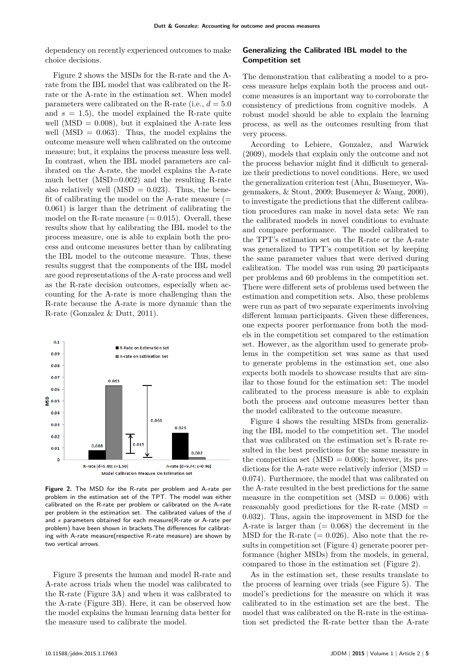dependency on recently experienced outcomes to make choice decisions.

Figure [2](#page-4-0) shows the MSDs for the R-rate and the Arate from the IBL model that was calibrated on the Rrate or the A-rate in the estimation set. When model parameters were calibrated on the R-rate (i.e.,  $d = 5.0$ ) and  $s = 1.5$ , the model explained the R-rate quite well (MSD  $= 0.008$ ), but it explained the A-rate less well ( $MSD = 0.063$ ). Thus, the model explains the outcome measure well when calibrated on the outcome measure; but, it explains the process measure less well. In contrast, when the IBL model parameters are calibrated on the A-rate, the model explains the A-rate much better (MSD=0.002) and the resulting R-rate also relatively well (MSD  $= 0.023$ ). Thus, the benefit of calibrating the model on the A-rate measure  $(=$ 0.061) is larger than the detriment of calibrating the model on the R-rate measure  $(= 0.015)$ . Overall, these results show that by calibrating the IBL model to the process measure, one is able to explain both the process and outcome measures better than by calibrating the IBL model to the outcome measure. Thus, these results suggest that the components of the IBL model are good representations of the A-rate process and well as the R-rate decision outcomes, especially when accounting for the A-rate is more challenging than the R-rate because the A-rate is more dynamic than the R-rate [\(Gonzalez & Dutt, 2011\)](#page-7-0).

<span id="page-4-0"></span>

**Figure 2.** The MSD for the R-rate per problem and A-rate per problem in the estimation set of the TPT. The model was either calibrated on the R-rate per problem or calibrated on the A-rate per problem in the estimation set. The calibrated values of the *d* and *s* parameters obtained for each measure(R-rate or A-rate per problem) have been shown in brackets.The differences for calibrating with A-rate measure(respective R-rate measure) are shown by two vertical arrows.

Figure [3](#page-5-0) presents the human and model R-rate and A-rate across trials when the model was calibrated to the R-rate (Figure 3A) and when it was calibrated to the A-rate (Figure 3B). Here, it can be observed how the model explains the human learning data better for the measure used to calibrate the model.

## **Generalizing the Calibrated IBL model to the Competition set**

The demonstration that calibrating a model to a process measure helps explain both the process and outcome measures is an important way to corroborate the consistency of predictions from cognitive models. A robust model should be able to explain the learning process, as well as the outcomes resulting from that very process.

According to [Lebiere, Gonzalez, and Warwick](#page-7-0) [\(2009\),](#page-7-0) models that explain only the outcome and not the process behavior might find it difficult to generalize their predictions to novel conditions. Here, we used the generalization criterion test [\(Ahn, Busemeyer, Wa](#page-7-0)[genmakers, & Stout, 2009; Busemeyer & Wang, 2000\)](#page-7-0), to investigate the predictions that the different calibration procedures can make in novel data sets: We ran the calibrated models in novel conditions to evaluate and compare performance. The model calibrated to the TPT's estimation set on the R-rate or the A-rate was generalized to TPT's competition set by keeping the same parameter values that were derived during calibration. The model was run using 20 participants per problems and 60 problems in the competition set. There were different sets of problems used between the estimation and competition sets. Also, these problems were run as part of two separate experiments involving different human participants. Given these differences, one expects poorer performance from both the models in the competition set compared to the estimation set. However, as the algorithm used to generate problems in the competition set was same as that used to generate problems in the estimation set, one also expects both models to showcase results that are similar to those found for the estimation set: The model calibrated to the process measure is able to explain both the process and outcome measures better than the model calibrated to the outcome measure.

Figure [4](#page-5-1) shows the resulting MSDs from generalizing the IBL model to the competition set. The model that was calibrated on the estimation set's R-rate resulted in the best predictions for the same measure in the competition set  $(MSD = 0.006)$ ; however, its predictions for the A-rate were relatively inferior  $(MSD =$ 0.074). Furthermore, the model that was calibrated on the A-rate resulted in the best predictions for the same measure in the competition set  $(MSD = 0.006)$  with reasonably good predictions for the R-rate (MSD = 0.032). Thus, again the improvement in MSD for the A-rate is larger than  $(= 0.068)$  the decrement in the MSD for the R-rate  $(= 0.026)$ . Also note that the results in competition set (Figure [4\)](#page-5-1) generate poorer performance (higher MSDs) from the models, in general, compared to those in the estimation set (Figure [2\)](#page-4-0).

As in the estimation set, these results translate to the process of learning over trials (see Figure [5\)](#page-6-0). The model's predictions for the measure on which it was calibrated to in the estimation set are the best. The model that was calibrated on the R-rate in the estimation set predicted the R-rate better than the A-rate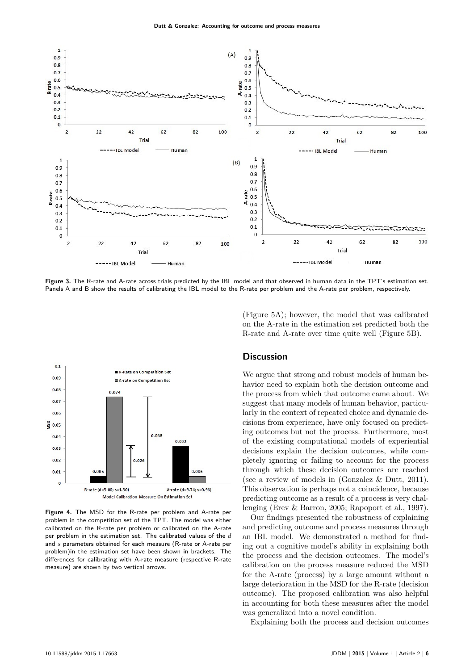<span id="page-5-0"></span>

**Figure 3.** The R-rate and A-rate across trials predicted by the IBL model and that observed in human data in the TPT's estimation set. Panels A and B show the results of calibrating the IBL model to the R-rate per problem and the A-rate per problem, respectively.

<span id="page-5-1"></span>

**Figure 4.** The MSD for the R-rate per problem and A-rate per problem in the competition set of the TPT. The model was either calibrated on the R-rate per problem or calibrated on the A-rate per problem in the estimation set. The calibrated values of the *d* and *s* parameters obtained for each measure (R-rate or A-rate per problem)in the estimation set have been shown in brackets. The differences for calibrating with A-rate measure (respective R-rate measure) are shown by two vertical arrows.

(Figure 5A); however, the model that was calibrated on the A-rate in the estimation set predicted both the R-rate and A-rate over time quite well (Figure 5B).

## **Discussion**

We argue that strong and robust models of human behavior need to explain both the decision outcome and the process from which that outcome came about. We suggest that many models of human behavior, particularly in the context of repeated choice and dynamic decisions from experience, have only focused on predicting outcomes but not the process. Furthermore, most of the existing computational models of experiential decisions explain the decision outcomes, while completely ignoring or failing to account for the process through which these decision outcomes are reached (see a review of models in [\(Gonzalez & Dutt, 2011\)](#page-7-0). This observation is perhaps not a coincidence, because predicting outcome as a result of a process is very challenging [\(Erev & Barron, 2005; Rapoport et al., 1997\)](#page-7-0).

Our findings presented the robustness of explaining and predicting outcome and process measures through an IBL model. We demonstrated a method for finding out a cognitive model's ability in explaining both the process and the decision outcomes. The model's calibration on the process measure reduced the MSD for the A-rate (process) by a large amount without a large deterioration in the MSD for the R-rate (decision outcome). The proposed calibration was also helpful in accounting for both these measures after the model was generalized into a novel condition.

Explaining both the process and decision outcomes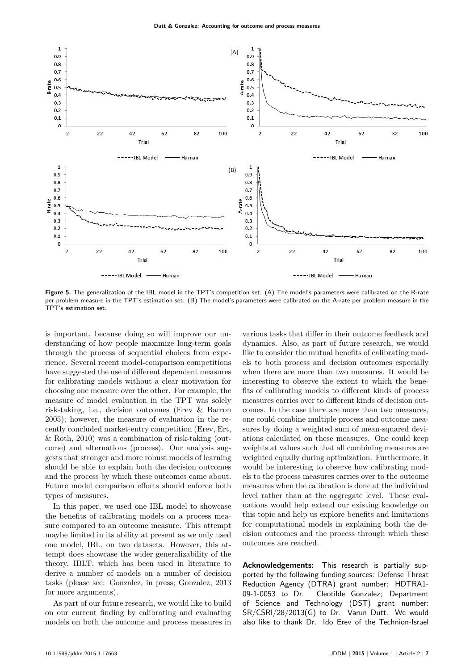<span id="page-6-0"></span>

**Figure 5.** The generalization of the IBL model in the TPT's competition set. (A) The model's parameters were calibrated on the R-rate per problem measure in the TPT's estimation set. (B) The model's parameters were calibrated on the A-rate per problem measure in the TPT's estimation set.

is important, because doing so will improve our understanding of how people maximize long-term goals through the process of sequential choices from experience. Several recent model-comparison competitions have suggested the use of different dependent measures for calibrating models without a clear motivation for choosing one measure over the other. For example, the measure of model evaluation in the TPT was solely risk-taking, i.e., decision outcomes [\(Erev & Barron](#page-7-0) [2005\)](#page-7-0); however, the measure of evaluation in the recently concluded market-entry competition [\(Erev, Ert,](#page-7-0) [& Roth, 2010\)](#page-7-0) was a combination of risk-taking (outcome) and alternations (process). Our analysis suggests that stronger and more robust models of learning should be able to explain both the decision outcomes and the process by which these outcomes came about. Future model comparison efforts should enforce both types of measures.

In this paper, we used one IBL model to showcase the benefits of calibrating models on a process measure compared to an outcome measure. This attempt maybe limited in its ability at present as we only used one model, IBL, on two datasets. However, this attempt does showcase the wider generalizability of the theory, IBLT, which has been used in literature to derive a number of models on a number of decision tasks (please see: [Gonzalez, in press; Gonzalez, 2013](#page-7-0) for more arguments).

As part of our future research, we would like to build on our current finding by calibrating and evaluating models on both the outcome and process measures in

various tasks that differ in their outcome feedback and dynamics. Also, as part of future research, we would like to consider the mutual benefits of calibrating models to both process and decision outcomes especially when there are more than two measures. It would be interesting to observe the extent to which the benefits of calibrating models to different kinds of process measures carries over to different kinds of decision outcomes. In the case there are more than two measures, one could combine multiple process and outcome measures by doing a weighted sum of mean-squared deviations calculated on these measures. One could keep weights at values such that all combining measures are weighted equally during optimization. Furthermore, it would be interesting to observe how calibrating models to the process measures carries over to the outcome measures when the calibration is done at the individual level rather than at the aggregate level. These evaluations would help extend our existing knowledge on this topic and help us explore benefits and limitations for computational models in explaining both the decision outcomes and the process through which these outcomes are reached.

**Acknowledgements:** This research is partially supported by the following funding sources: Defense Threat Reduction Agency (DTRA) grant number: HDTRA1- 09-1-0053 to Dr. Cleotilde Gonzalez; Department of Science and Technology (DST) grant number: SR/CSRI/28/2013(G) to Dr. Varun Dutt. We would also like to thank Dr. Ido Erev of the Technion-Israel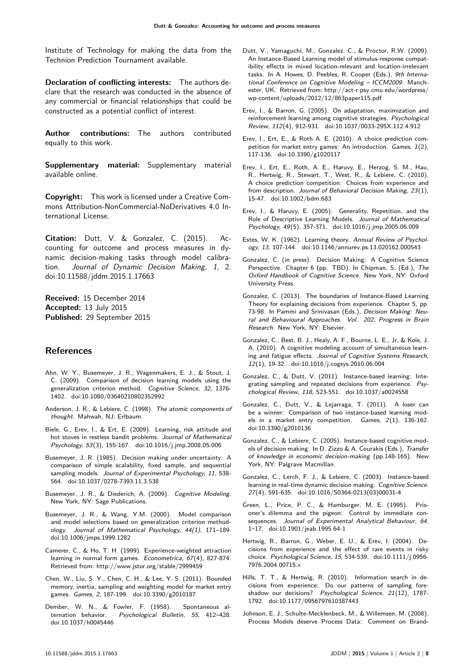Institute of Technology for making the data from the Technion Prediction Tournament available.

**Declaration of conflicting interests:** The authors declare that the research was conducted in the absence of any commercial or financial relationships that could be constructed as a potential conflict of interest.

**Author contributions:** The authors contributed equally to this work.

**Supplementary material:** Supplementary material available online.

**Copyright:** This work is licensed under a Creative Commons Attribution-NonCommercial-NoDerivatives 4.0 International License.

**Citation:** Dutt, V. & Gonzalez, C. (2015). Accounting for outcome and process measures in dynamic decision-making tasks through model calibration. Journal of Dynamic Decision Making, 1, 2. doi:10.11588/jddm.2015.1.17663

**Received:** 15 December 2014 **Accepted:** 13 July 2015 **Published:** 29 September 2015

## <span id="page-7-0"></span>**References**

- Ahn, W. Y., Busemeyer, J. R., Wagenmakers, E. J., & Stout, J. C. (2009). Comparison of decision learning models using the generalization criterion method. Cognitive Science, 32, 1376- 1402. [doi:10.1080/03640210802352992](http://dx.doi.org/10.1080/03640210802352992)
- Anderson, J. R., & Lebiere, C. (1998). The atomic components of thought. Mahwah, NJ: Erlbaum.
- Biele, G., Erev, I., & Ert, E. (2009). Learning, risk attitude and hot stoves in restless bandit problems. Journal of Mathematical Psychology, 53(3), 155-167. [doi:10.1016/j.jmp.2008.05.006](http://dx.doi.org/10.1016/j.jmp.2008.05.006)
- Busemeyer, J. R. (1985). Decision making under uncertainty: A comparison of simple scalability, fixed sample, and sequential sampling models. Journal of Experimental Psychology, 11, 538-564. [doi:10.1037/0278-7393.11.3.538](http://dx.doi.org/10.1037/0278-7393.11.3.538)
- Busemeyer, J. R., & Diederich, A. (2009). Cognitive Modeling. New York, NY: Sage Publications.
- Busemeyer, J. R., & Wang, Y.M. (2000). Model comparison and model selections based on generalization criterion methodology. Journal of Mathematical Psychology, 44(1), 171–189. [doi:10.1006/jmps.1999.1282](http://dx.doi.org/10.1006/jmps.1999.1282)
- Camerer, C., & Ho, T. H. (1999). Experience-weighted attraction learning in normal form games. Econometrica, 67(4), 827-874. Retrieved from:<http://www.jstor.org/stable/2999459>
- Chen, W., Liu, S. Y., Chen, C. H., & Lee, Y. S. (2011). Bounded memory, inertia, sampling and weighting model for market entry games. Games, 2, 187-199. [doi:10.3390/g2010187](http://dx.doi.org/10.3390/g2010187)
- Dember, W. N., & Fowler, F. (1958). Spontaneous alternation behavior. Psychological Bulletin, 55, 412–428. [doi:10.1037/h0045446](http://dx.doi.org/10.1037/h0045446)
- Dutt, V., Yamaguchi, M., Gonzalez, C., & Proctor, R.W. (2009). An Instance-Based Learning model of stimulus-response compatibility effects in mixed location-relevant and location-irrelevant tasks. In A. Howes, D. Peebles, R. Cooper (Eds.), 9th International Conference on Cognitive Modeling – ICCM2009. Manchester, UK. Retrieved from: [http://act-r.psy.cmu.edu/wordpress/](http://act-r.psy.cmu.edu/wordpress/wp-content/uploads/2012/12/863paper115.pdf) [wp-content/uploads/2012/12/863paper115.pdf](http://act-r.psy.cmu.edu/wordpress/wp-content/uploads/2012/12/863paper115.pdf)
- Erev, I., & Barron, G. (2005). On adaptation, maximization and reinforcement learning among cognitive strategies. Psychological Review, 112(4), 912-931. [doi:10.1037/0033-295X.112.4.912](http://dx.doi.org/10.1037/0033-295X.112.4.912)
- Erev, I., Ert, E., & Roth A. E. (2010). A choice prediction competition for market entry games: An introduction. Games, 1(2), 117-136. [doi:10.3390/g1020117](http://dx.doi.org/10.3390/g1020117)
- Erev, I., Ert, E., Roth, A. E., Haruvy, E., Herzog, S. M., Hau, R., Hertwig, R., Stewart, T., West, R., & Lebiere, C. (2010). A choice prediction competition: Choices from experience and from description. Journal of Behavioral Decision Making, 23(1), 15-47. [doi:10.1002/bdm.683](http://dx.doi.org/10.1002/bdm.683)
- Erev, I., & Haruvy, E. (2005). Generality, Repetition, and the Role of Descriptive Learning Models. Journal of Mathematical Psychology, 49(5), 357-371. [doi:10.1016/j.jmp.2005.06.009](http://dx.doi.org/10.1016/j.jmp.2005.06.009 )
- Estes, W. K. (1962). Learning theory. Annual Review of Psychology, 13, 107-144. [doi:10.1146/annurev.ps.13.020162.000543](http://dx.doi.org/10.1146/annurev.ps.13.020162.000543)
- Gonzalez, C. (in press). Decision Making: A Cognitive Science Perspective. Chapter 6 (pp. TBD). In Chipman, S. (Ed.), The Oxford Handbook of Cognitive Science. New York, NY: Oxford University Press.
- Gonzalez, C. (2013). The boundaries of Instance-Based Learning Theory for explaining decisions from experience. Chapter 5, pp. 73-98. In Pammi and Srinivasan (Eds.), Decision Making: Neural and Behavioural Approaches. Vol. 202, Progress in Brain Research. New York, NY: Elsevier.
- Gonzalez, C., Best, B. J., Healy, A. F., Bourne, L. E., Jr, & Kole, J. A. (2010). A cognitive modeling account of simultaneous learning and fatigue effects. Journal of Cognitive Systems Research, 12(1), 19-32. [doi:10.1016/j.cogsys.2010.06.004](http://dx.doi.org/10.1016/j.cogsys.2010.06.004)
- Gonzalez, C., & Dutt, V. (2011). Instance-based learning: Integrating sampling and repeated decisions from experience. Psychological Review, 118, 523-551. [doi:10.1037/a0024558](http://dx.doi.org/10.1037/a0024558)
- Gonzalez, C., Dutt, V., & Lejarraga, T. (2011). A loser can be a winner: Comparison of two instance-based learning models in a market entry competition. Games, 2(1), 136-162. [doi:10.3390/g2010136](http://dx.doi.org/10.3390/g2010136)
- Gonzalez, C., & Lebiere, C. (2005). Instance-based cognitive models of decision making. In D. Zizzo & A. Courakis (Eds.), Transfer of knowledge in economic decision-making (pp.148-165). New York, NY: Palgrave Macmillan.
- Gonzalez, C., Lerch, F. J., & Lebiere, C. (2003). Instance-based learning in real-time dynamic decision making. Cognitive Science. 27(4), 591-635. [doi:10.1016/S0364-0213\(03\)00031-4](http://dx.doi.org/10.1016/S0364-0213(03)00031-4)
- Green, L., Price, P. C., & Hamburger, M. E. (1995). Prisoner's dilemma and the pigeon: Control by immediate consequences. Journal of Experimental Analytical Behaviour, 64, 1–17. [doi:10.1901/jeab.1995.64-1](http://dx.doi.org/10.1901/jeab.1995.64-1)
- Hertwig, R., Barron, G., Weber, E. U., & Erev, I. (2004). Decisions from experience and the effect of rare events in risky choice. Psychological Science, 15, 534-539. [doi:10.1111/j.0956-](http://dx.doi.org/10.1111/j.0956-7976.2004.00715.x) [7976.2004.00715.x](http://dx.doi.org/10.1111/j.0956-7976.2004.00715.x)
- Hills, T. T., & Hertwig, R. (2010). Information search in decisions from experience: Do our patterns of sampling foreshadow our decisions? Psychological Science, 21(12), 1787- 1792. [doi:10.1177/0956797610387443](http://dx.doi.org/10.1177/0956797610387443)
- Johnson, E. J., Schulte-Mecklenbeck, M., & Willemsen, M. (2008). Process Models deserve Process Data: Comment on Brand-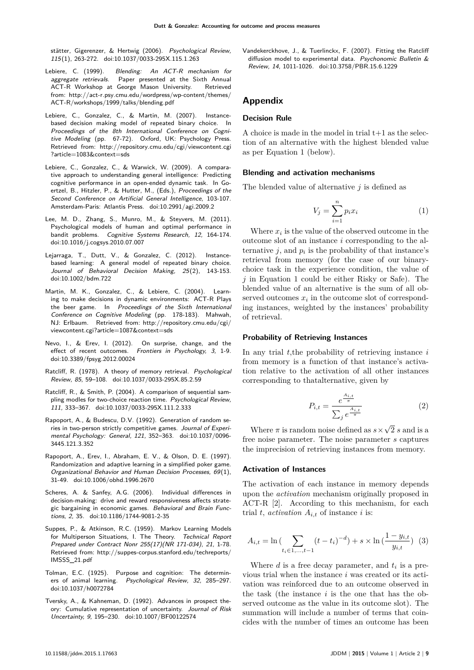stätter, Gigerenzer, & Hertwig (2006). Psychological Review, 115(1), 263-272. [doi:10.1037/0033-295X.115.1.263](http://dx.doi.org/10.1037/0033-295X.115.1.263)

- Lebiere, C. (1999). Blending: An ACT-R mechanism for aggregate retrievals. Paper presented at the Sixth Annual ACT-R Workshop at George Mason University. Retrieved from: [http://act-r.psy.cmu.edu/wordpress/wp-content/themes/](http://act-r.psy.cmu.edu/wordpress/wp-content/themes/ACT-R/workshops/1999/talks/blending.pdf) [ACT-R/workshops/1999/talks/blending.pdf](http://act-r.psy.cmu.edu/wordpress/wp-content/themes/ACT-R/workshops/1999/talks/blending.pdf)
- Lebiere, C., Gonzalez, C., & Martin, M. (2007). Instancebased decision making model of repeated binary choice. In Proceedings of the 8th International Conference on Cognitive Modeling (pp. 67-72). Oxford, UK: Psychology Press. Retrieved from: [http://repository.cmu.edu/cgi/viewcontent.cgi](http://repository.cmu.edu/cgi/viewcontent.cgi?article=1083&context=sds) [?article=1083&context=sds](http://repository.cmu.edu/cgi/viewcontent.cgi?article=1083&context=sds)
- Lebiere, C., Gonzalez, C., & Warwick, W. (2009). A comparative approach to understanding general intelligence: Predicting cognitive performance in an open-ended dynamic task. In Goertzel, B., Hitzler, P., & Hutter, M., (Eds.), Proceedings of the Second Conference on Artificial General Intelligence, 103-107. Amsterdam-Paris: Atlantis Press. [doi:10.2991/agi.2009.2](http://dx.doi.org/10.2991/agi.2009.2)
- Lee, M. D., Zhang, S., Munro, M., & Steyvers, M. (2011). Psychological models of human and optimal performance in bandit problems. Cognitive Systems Research, 12, 164-174. [doi:10.1016/j.cogsys.2010.07.007](http://dx.doi.org/10.1016/j.cogsys.2010.07.007)
- Lejarraga, T., Dutt, V., & Gonzalez, C. (2012). Instancebased learning: A general model of repeated binary choice. Journal of Behavioral Decision Making, 25(2), 143-153. [doi:10.1002/bdm.722](http://dx.doi.org/10.1002/bdm.722)
- Martin, M. K., Gonzalez, C., & Lebiere, C. (2004). Learning to make decisions in dynamic environments: ACT-R Plays the beer game. In Proceedings of the Sixth International Conference on Cognitive Modeling (pp. 178-183). Mahwah, NJ: Erlbaum. Retrieved from: [http://repository.cmu.edu/cgi/](http://repository.cmu.edu/cgi/viewcontent.cgi?article=1087&context=sds) [viewcontent.cgi?article=1087&context=sds](http://repository.cmu.edu/cgi/viewcontent.cgi?article=1087&context=sds)
- Nevo, I., & Erev, I. (2012). On surprise, change, and the effect of recent outcomes. Frontiers in Psychology, 3, 1-9. [doi:10.3389/fpsyg.2012.00024](http://dx.doi.org/10.3389/fpsyg.2012.00024)
- Ratcliff, R. (1978). A theory of memory retrieval. Psychological Review, 85, 59–108. [doi:10.1037/0033-295X.85.2.59](http://dx.doi.org/10.1037/0033-295X.85.2.59)
- Ratcliff, R., & Smith, P. (2004). A comparison of sequential sampling modles for two-choice reaction time. Psychological Review, 111, 333–367. [doi:10.1037/0033-295X.111.2.333](http://dx.doi.org/10.1037/0033-295X.111.2.333)
- Rapoport, A., & Budescu, D.V. (1992). Generation of random series in two-person strictly competitive games. Journal of Experimental Psychology: General, 121, 352–363. [doi:10.1037/0096-](http://dx.doi.org/10.1037/0096-3445.121.3.352) [3445.121.3.352](http://dx.doi.org/10.1037/0096-3445.121.3.352)
- Rapoport, A., Erev, I., Abraham, E. V., & Olson, D. E. (1997). Randomization and adaptive learning in a simplified poker game. Organizational Behavior and Human Decision Processes, 69(1), 31-49. [doi:10.1006/obhd.1996.2670](http://dx.doi.org/10.1006/obhd.1996.2670)
- Scheres, A. & Sanfey, A.G. (2006). Individual differences in decision-making: drive and reward responsiveness affects strategic bargaining in economic games. Behavioral and Brain Functions, 2, 35. [doi:10.1186/1744-9081-2-35](http://dx.doi.org/10.1186/1744-9081-2-35)
- Suppes, P., & Atkinson, R.C. (1959). Markov Learning Models for Multiperson Situations, I. The Theory. Technical Report Prepared under Contract Nonr 255(17)(NR 171-034), 21, 1-78. Retrieved from: [http://suppes-corpus.stanford.edu/techreports/](http://suppes-corpus.stanford.edu/techreports/IMSSS_21.pdf) [IMSSS\\_21.pdf](http://suppes-corpus.stanford.edu/techreports/IMSSS_21.pdf)
- Tolman, E.C. (1925). Purpose and cognition: The determiners of animal learning. Psychological Review, 32, 285–297. [doi:10.1037/h0072784](http://dx.doi.org/10.1037/h0072784)
- Tversky, A., & Kahneman, D. (1992). Advances in prospect theory: Cumulative representation of uncertainty. Journal of Risk Uncertainty, 9, 195–230. [doi:10.1007/BF00122574](http://dx.doi.org/10.1007/BF00122574)

Vandekerckhove, J., & Tuerlinckx, F. (2007). Fitting the Ratcliff diffusion model to experimental data. Psychonomic Bulletin & Review, 14, 1011-1026. [doi:10.3758/PBR.15.6.1229](http://dx.doi.org/10.3758/PBR.15.6.1229)

# **Appendix**

# **Decision Rule**

A choice is made in the model in trial  $t+1$  as the selection of an alternative with the highest blended value as per Equation 1 (below).

## **Blending and activation mechanisms**

The blended value of alternative *j* is defined as

$$
V_j = \sum_{i=1}^n p_i x_i \tag{1}
$$

Where  $x_i$  is the value of the observed outcome in the outcome slot of an instance *i* corresponding to the alternative  $j$ , and  $p_i$  is the probability of that instance's retrieval from memory (for the case of our binarychoice task in the experience condition, the value of *j* in Equation 1 could be either Risky or Safe). The blended value of an alternative is the sum of all observed outcomes  $x_i$  in the outcome slot of corresponding instances, weighted by the instances' probability of retrieval.

#### **Probability of Retrieving Instances**

In any trial *t*,the probability of retrieving instance *i* from memory is a function of that instance's activation relative to the activation of all other instances corresponding to thatalternative, given by

$$
P_{i,t} = \frac{e^{\frac{A_{i,t}}{\pi}}}{\sum_{j} e^{\frac{A_{i,t}}{\pi}}}
$$
 (2)

Where  $\pi$  is random noise defined as  $s \times$ √ 2 *s* and is a free noise parameter. The noise parameter *s* captures the imprecision of retrieving instances from memory.

#### **Activation of Instances**

The activation of each instance in memory depends upon the *activation* mechanism originally proposed in ACT-R [2]. According to this mechanism, for each trial *t*, *activation*  $A_{i,t}$  of instance *i* is:

$$
A_{i,t} = \ln\left(\sum_{t_i \in 1, ..., t-1} (t - t_i)^{-d}\right) + s \times \ln\left(\frac{1 - y_{i,t}}{y_{i,t}}\right) \tag{3}
$$

Where  $d$  is a free decay parameter, and  $t_i$  is a previous trial when the instance *i* was created or its activation was reinforced due to an outcome observed in the task (the instance *i* is the one that has the observed outcome as the value in its outcome slot). The summation will include a number of terms that coincides with the number of times an outcome has been